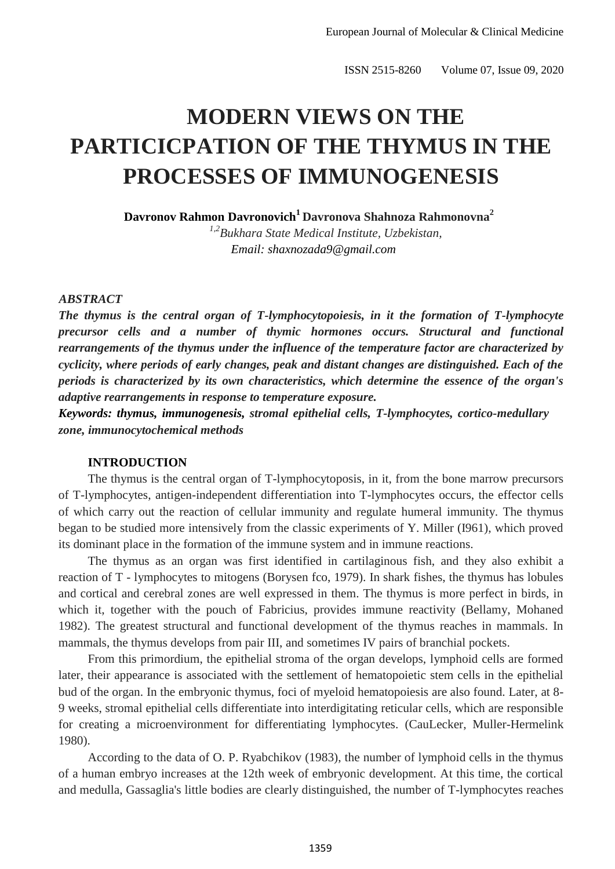# <sup>1</sup> **MODERN VIEWS ON THE**  <sup>2</sup> **PARTICICPATION OF THE THYMUS IN THE**  <sup>3</sup> **PROCESSES OF IMMUNOGENESIS**

 **Davronov Rahmon Davronovich<sup>1</sup> Davronova Shahnoza Rahmonovna<sup>2</sup>**

*1,2* 6 *Bukhara State Medical Institute, Uzbekistan,* 7 *Email: shaxnozada9@gmail.com*

#### 10*ABSTRACT*

 *The thymus is the central organ of T-lymphocytopoiesis, in it the formation of T-lymphocyte precursor cells and a number of thymic hormones occurs. Structural and functional rearrangements of the thymus under the influence of the temperature factor are characterized by cyclicity, where periods of early changes, peak and distant changes are distinguished. Each of the periods is characterized by its own characteristics, which determine the essence of the organ's adaptive rearrangements in response to temperature exposure.*

17 *Keywords: thymus, immunogenesis, stromal epithelial cells, T-lymphocytes, cortico-medullary*  18 *zone, immunocytochemical methods*

## 20 **INTRODUCTION**

The thymus is the central organ of T-lymphocytoposis, in it, from the bone marrow precursors of T-lymphocytes, antigen-independent differentiation into T-lymphocytes occurs, the effector cells 23 of which carry out the reaction of cellular immunity and regulate humeral immunity. The thymus began to be studied more intensively from the classic experiments of Y. Miller (I961), which proved its dominant place in the formation of the immune system and in immune reactions.

26 The thymus as an organ was first identified in cartilaginous fish, and they also exhibit a reaction of T - lymphocytes to mitogens (Borysen fco, 1979). In shark fishes, the thymus has lobules and cortical and cerebral zones are well expressed in them. The thymus is more perfect in birds, in which it, together with the pouch of Fabricius, provides immune reactivity (Bellamy, Mohaned 30 1982). The greatest structural and functional development of the thymus reaches in mammals. In mammals, the thymus develops from pair III, and sometimes IV pairs of branchial pockets.

32 From this primordium, the epithelial stroma of the organ develops, lymphoid cells are formed later, their appearance is associated with the settlement of hematopoietic stem cells in the epithelial bud of the organ. In the embryonic thymus, foci of myeloid hematopoiesis are also found. Later, at 8-35 9 weeks, stromal epithelial cells differentiate into interdigitating reticular cells, which are responsible for creating a microenvironment for differentiating lymphocytes. (CauLecker, Muller-Hermelink 1980).

According to the data of O. P. Ryabchikov (1983), the number of lymphoid cells in the thymus 39 of a human embryo increases at the 12th week of embryonic development. At this time, the cortical and medulla, Gassaglia's little bodies are clearly distinguished, the number of T-lymphocytes reaches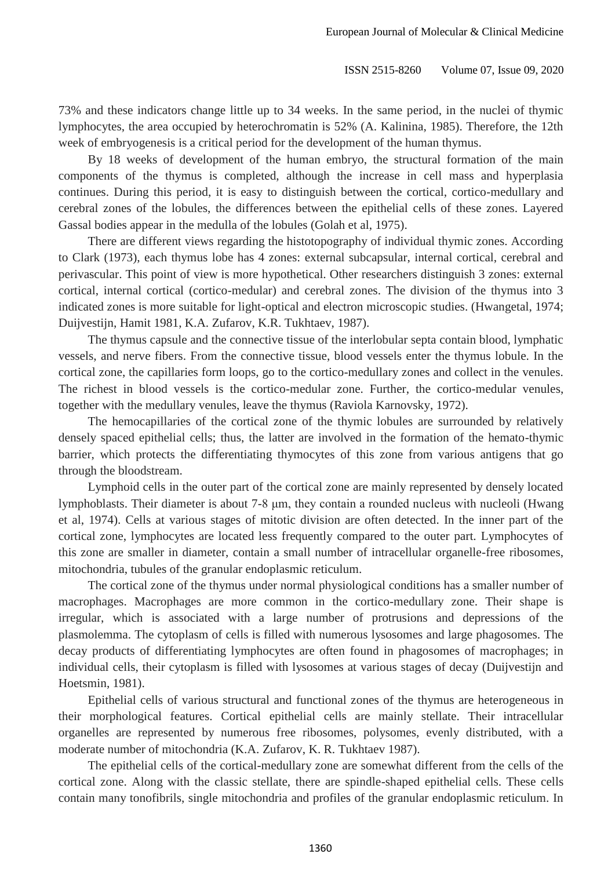1 73% and these indicators change little up to 34 weeks. In the same period, in the nuclei of thymic lymphocytes, the area occupied by heterochromatin is 52% (A. Kalinina, 1985). Therefore, the 12th week of embryogenesis is a critical period for the development of the human thymus.

 By 18 weeks of development of the human embryo, the structural formation of the main components of the thymus is completed, although the increase in cell mass and hyperplasia continues. During this period, it is easy to distinguish between the cortical, cortico-medullary and cerebral zones of the lobules, the differences between the epithelial cells of these zones. Layered Gassal bodies appear in the medulla of the lobules (Golah et al, 1975).

There are different views regarding the histotopography of individual thymic zones. According to Clark (1973), each thymus lobe has 4 zones: external subcapsular, internal cortical, cerebral and perivascular. This point of view is more hypothetical. Other researchers distinguish 3 zones: external cortical, internal cortical (cortico-medular) and cerebral zones. The division of the thymus into 3 indicated zones is more suitable for light-optical and electron microscopic studies. (Hwangetal, 1974; Duijvestijn, Hamit 1981, K.A. Zufarov, K.R. Tukhtaev, 1987).

The thymus capsule and the connective tissue of the interlobular septa contain blood, lymphatic 16 vessels, and nerve fibers. From the connective tissue, blood vessels enter the thymus lobule. In the cortical zone, the capillaries form loops, go to the cortico-medullary zones and collect in the venules. The richest in blood vessels is the cortico-medular zone. Further, the cortico-medular venules, 19 together with the medullary venules, leave the thymus (Raviola Karnovsky, 1972).

The hemocapillaries of the cortical zone of the thymic lobules are surrounded by relatively densely spaced epithelial cells; thus, the latter are involved in the formation of the hemato-thymic 22 barrier, which protects the differentiating thymocytes of this zone from various antigens that go through the bloodstream.

Lymphoid cells in the outer part of the cortical zone are mainly represented by densely located 25 lymphoblasts. Their diameter is about 7-8 μm, they contain a rounded nucleus with nucleoli (Hwang 26 et al, 1974). Cells at various stages of mitotic division are often detected. In the inner part of the cortical zone, lymphocytes are located less frequently compared to the outer part. Lymphocytes of 28 this zone are smaller in diameter, contain a small number of intracellular organelle-free ribosomes, mitochondria, tubules of the granular endoplasmic reticulum.

The cortical zone of the thymus under normal physiological conditions has a smaller number of macrophages. Macrophages are more common in the cortico-medullary zone. Their shape is irregular, which is associated with a large number of protrusions and depressions of the 33 plasmolemma. The cytoplasm of cells is filled with numerous lysosomes and large phagosomes. The 34 decay products of differentiating lymphocytes are often found in phagosomes of macrophages; in 35 individual cells, their cytoplasm is filled with lysosomes at various stages of decay (Duijvestijn and Hoetsmin, 1981).

 Epithelial cells of various structural and functional zones of the thymus are heterogeneous in their morphological features. Cortical epithelial cells are mainly stellate. Their intracellular organelles are represented by numerous free ribosomes, polysomes, evenly distributed, with a moderate number of mitochondria (K.A. Zufarov, K. R. Tukhtaev 1987).

The epithelial cells of the cortical-medullary zone are somewhat different from the cells of the cortical zone. Along with the classic stellate, there are spindle-shaped epithelial cells. These cells 43 contain many tonofibrils, single mitochondria and profiles of the granular endoplasmic reticulum. In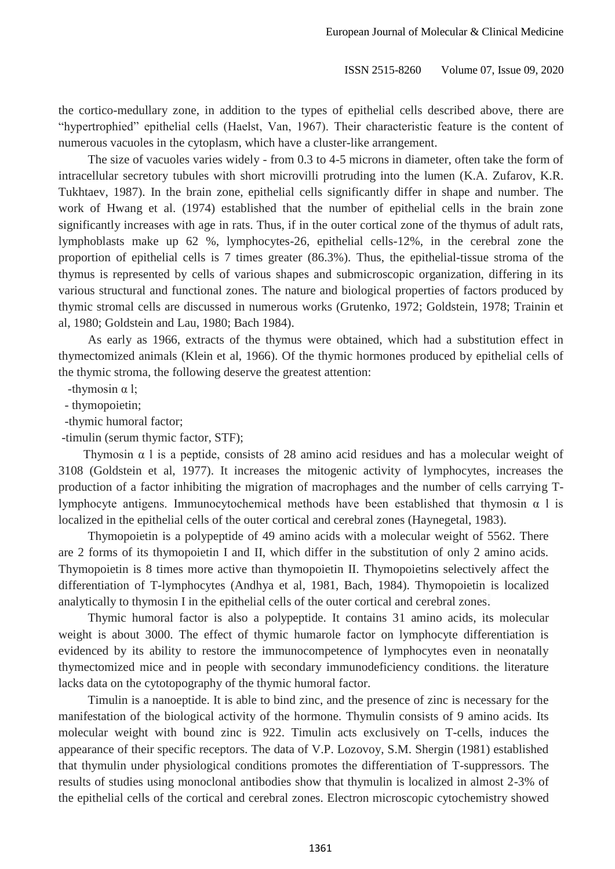1 the cortico-medullary zone, in addition to the types of epithelial cells described above, there are "hypertrophied" epithelial cells (Haelst, Van, 1967). Their characteristic feature is the content of numerous vacuoles in the cytoplasm, which have a cluster-like arrangement.

The size of vacuoles varies widely - from 0.3 to 4-5 microns in diameter, often take the form of 5 intracellular secretory tubules with short microvilli protruding into the lumen (K.A. Zufarov, K.R. Tukhtaev, 1987). In the brain zone, epithelial cells significantly differ in shape and number. The work of Hwang et al. (1974) established that the number of epithelial cells in the brain zone significantly increases with age in rats. Thus, if in the outer cortical zone of the thymus of adult rats, lymphoblasts make up 62 %, lymphocytes-26, epithelial cells-12%, in the cerebral zone the proportion of epithelial cells is 7 times greater (86.3%). Thus, the epithelial-tissue stroma of the 11 thymus is represented by cells of various shapes and submicroscopic organization, differing in its 12 various structural and functional zones. The nature and biological properties of factors produced by 13 thymic stromal cells are discussed in numerous works (Grutenko, 1972; Goldstein, 1978; Trainin et al, 1980; Goldstein and Lau, 1980; Bach 1984).

As early as 1966, extracts of the thymus were obtained, which had a substitution effect in 16 thymectomized animals (Klein et al, 1966). Of the thymic hormones produced by epithelial cells of the thymic stroma, the following deserve the greatest attention:

-thymosin  $\alpha$  l;

- thymopoietin;

-thymic humoral factor;

-timulin (serum thymic factor, STF);

Thymosin  $\alpha$  l is a peptide, consists of 28 amino acid residues and has a molecular weight of 23 3108 (Goldstein et al, 1977). It increases the mitogenic activity of lymphocytes, increases the 24 production of a factor inhibiting the migration of macrophages and the number of cells carrying Tlymphocyte antigens. Immunocytochemical methods have been established that thymosin  $\alpha$  l is localized in the epithelial cells of the outer cortical and cerebral zones (Haynegetal, 1983).

27 Thymopoietin is a polypeptide of 49 amino acids with a molecular weight of 5562. There are 2 forms of its thymopoietin I and II, which differ in the substitution of only 2 amino acids. Thymopoietin is 8 times more active than thymopoietin II. Thymopoietins selectively affect the differentiation of T-lymphocytes (Andhya et al, 1981, Bach, 1984). Thymopoietin is localized analytically to thymosin I in the epithelial cells of the outer cortical and cerebral zones.

32 Thymic humoral factor is also a polypeptide. It contains 31 amino acids, its molecular 33 weight is about 3000. The effect of thymic humarole factor on lymphocyte differentiation is evidenced by its ability to restore the immunocompetence of lymphocytes even in neonatally 35 thymectomized mice and in people with secondary immunodeficiency conditions. the literature lacks data on the cytotopography of the thymic humoral factor.

37 Timulin is a nanoeptide. It is able to bind zinc, and the presence of zinc is necessary for the manifestation of the biological activity of the hormone. Thymulin consists of 9 amino acids. Its molecular weight with bound zinc is 922. Timulin acts exclusively on T-cells, induces the appearance of their specific receptors. The data of V.P. Lozovoy, S.M. Shergin (1981) established 41 that thymulin under physiological conditions promotes the differentiation of T-suppressors. The 42 results of studies using monoclonal antibodies show that thymulin is localized in almost 2-3% of the epithelial cells of the cortical and cerebral zones. Electron microscopic cytochemistry showed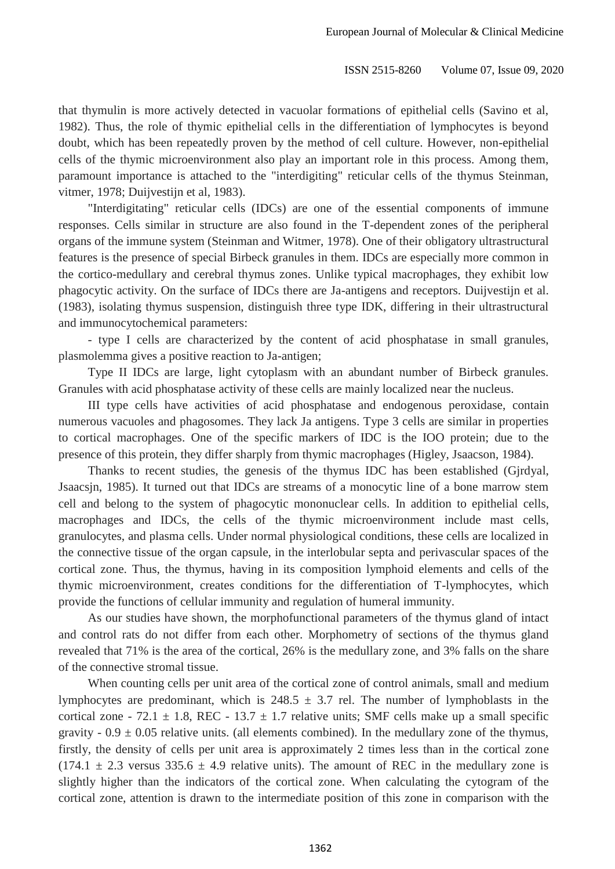that thymulin is more actively detected in vacuolar formations of epithelial cells (Savino et al, 1982). Thus, the role of thymic epithelial cells in the differentiation of lymphocytes is beyond doubt, which has been repeatedly proven by the method of cell culture. However, non-epithelial cells of the thymic microenvironment also play an important role in this process. Among them, paramount importance is attached to the "interdigiting" reticular cells of the thymus Steinman, vitmer, 1978; Duijvestijn et al, 1983).

"Interdigitating" reticular cells (IDCs) are one of the essential components of immune responses. Cells similar in structure are also found in the T-dependent zones of the peripheral 9 organs of the immune system (Steinman and Witmer, 1978). One of their obligatory ultrastructural features is the presence of special Birbeck granules in them. IDCs are especially more common in the cortico-medullary and cerebral thymus zones. Unlike typical macrophages, they exhibit low 12 phagocytic activity. On the surface of IDCs there are Ja-antigens and receptors. Duijvestijn et al. 13 (1983), isolating thymus suspension, distinguish three type IDK, differing in their ultrastructural and immunocytochemical parameters:

- type I cells are characterized by the content of acid phosphatase in small granules, plasmolemma gives a positive reaction to Ja-antigen;

Type II IDCs are large, light cytoplasm with an abundant number of Birbeck granules. Granules with acid phosphatase activity of these cells are mainly localized near the nucleus.

III type cells have activities of acid phosphatase and endogenous peroxidase, contain numerous vacuoles and phagosomes. They lack Ja antigens. Type 3 cells are similar in properties 21 to cortical macrophages. One of the specific markers of IDC is the IOO protein; due to the 22 presence of this protein, they differ sharply from thymic macrophages (Higley, Jsaacson, 1984).

Thanks to recent studies, the genesis of the thymus IDC has been established (Gjrdyal, Jsaacsjn, 1985). It turned out that IDCs are streams of a monocytic line of a bone marrow stem 25 cell and belong to the system of phagocytic mononuclear cells. In addition to epithelial cells, macrophages and IDCs, the cells of the thymic microenvironment include mast cells, 27 granulocytes, and plasma cells. Under normal physiological conditions, these cells are localized in 28 the connective tissue of the organ capsule, in the interlobular septa and perivascular spaces of the cortical zone. Thus, the thymus, having in its composition lymphoid elements and cells of the thymic microenvironment, creates conditions for the differentiation of T-lymphocytes, which provide the functions of cellular immunity and regulation of humeral immunity.

As our studies have shown, the morphofunctional parameters of the thymus gland of intact and control rats do not differ from each other. Morphometry of sections of the thymus gland 34 revealed that 71% is the area of the cortical, 26% is the medullary zone, and 3% falls on the share of the connective stromal tissue.

When counting cells per unit area of the cortical zone of control animals, small and medium lymphocytes are predominant, which is  $248.5 \pm 3.7$  rel. The number of lymphoblasts in the cortical zone - 72.1  $\pm$  1.8, REC - 13.7  $\pm$  1.7 relative units; SMF cells make up a small specific gravity -  $0.9 \pm 0.05$  relative units. (all elements combined). In the medullary zone of the thymus, firstly, the density of cells per unit area is approximately 2 times less than in the cortical zone  $(174.1 \pm 2.3 \text{ versus } 335.6 \pm 4.9 \text{ relative units})$ . The amount of REC in the medullary zone is slightly higher than the indicators of the cortical zone. When calculating the cytogram of the cortical zone, attention is drawn to the intermediate position of this zone in comparison with the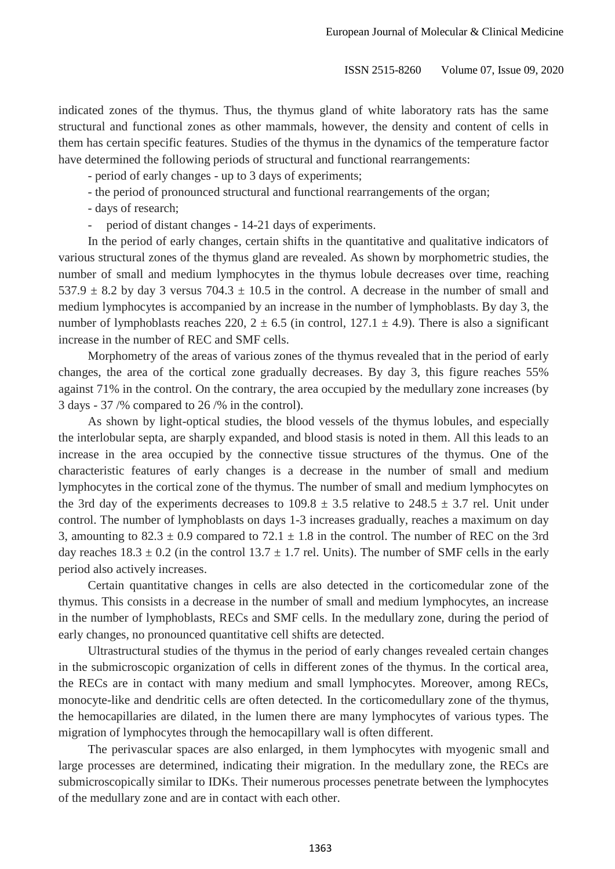indicated zones of the thymus. Thus, the thymus gland of white laboratory rats has the same structural and functional zones as other mammals, however, the density and content of cells in 3 them has certain specific features. Studies of the thymus in the dynamics of the temperature factor have determined the following periods of structural and functional rearrangements:

5 - period of early changes - up to 3 days of experiments;

6 - the period of pronounced structural and functional rearrangements of the organ;

- days of research;

period of distant changes - 14-21 days of experiments.

In the period of early changes, certain shifts in the quantitative and qualitative indicators of various structural zones of the thymus gland are revealed. As shown by morphometric studies, the number of small and medium lymphocytes in the thymus lobule decreases over time, reaching  $1237.9 \pm 8.2$  by day 3 versus  $704.3 \pm 10.5$  in the control. A decrease in the number of small and medium lymphocytes is accompanied by an increase in the number of lymphoblasts. By day 3, the number of lymphoblasts reaches 220,  $2 \pm 6.5$  (in control,  $127.1 \pm 4.9$ ). There is also a significant increase in the number of REC and SMF cells.

16 Morphometry of the areas of various zones of the thymus revealed that in the period of early 17 changes, the area of the cortical zone gradually decreases. By day 3, this figure reaches 55% against 71% in the control. On the contrary, the area occupied by the medullary zone increases (by  $3 \text{ days} - 37 \frac{96}{9} \text{ compared to } 26 \frac{96}{9} \text{ in the control}.$ 

As shown by light-optical studies, the blood vessels of the thymus lobules, and especially 21 the interlobular septa, are sharply expanded, and blood stasis is noted in them. All this leads to an 22 increase in the area occupied by the connective tissue structures of the thymus. One of the 23 characteristic features of early changes is a decrease in the number of small and medium lymphocytes in the cortical zone of the thymus. The number of small and medium lymphocytes on the 3rd day of the experiments decreases to  $109.8 \pm 3.5$  relative to  $248.5 \pm 3.7$  rel. Unit under 26 control. The number of lymphoblasts on days 1-3 increases gradually, reaches a maximum on day 3, amounting to  $82.3 \pm 0.9$  compared to  $72.1 \pm 1.8$  in the control. The number of REC on the 3rd day reaches  $18.3 \pm 0.2$  (in the control  $13.7 \pm 1.7$  rel. Units). The number of SMF cells in the early period also actively increases.

30 Certain quantitative changes in cells are also detected in the corticomedular zone of the 31 thymus. This consists in a decrease in the number of small and medium lymphocytes, an increase in the number of lymphoblasts, RECs and SMF cells. In the medullary zone, during the period of early changes, no pronounced quantitative cell shifts are detected.

Ultrastructural studies of the thymus in the period of early changes revealed certain changes in the submicroscopic organization of cells in different zones of the thymus. In the cortical area, 36 the RECs are in contact with many medium and small lymphocytes. Moreover, among RECs, monocyte-like and dendritic cells are often detected. In the corticomedullary zone of the thymus, 38 the hemocapillaries are dilated, in the lumen there are many lymphocytes of various types. The migration of lymphocytes through the hemocapillary wall is often different.

The perivascular spaces are also enlarged, in them lymphocytes with myogenic small and large processes are determined, indicating their migration. In the medullary zone, the RECs are submicroscopically similar to IDKs. Their numerous processes penetrate between the lymphocytes of the medullary zone and are in contact with each other.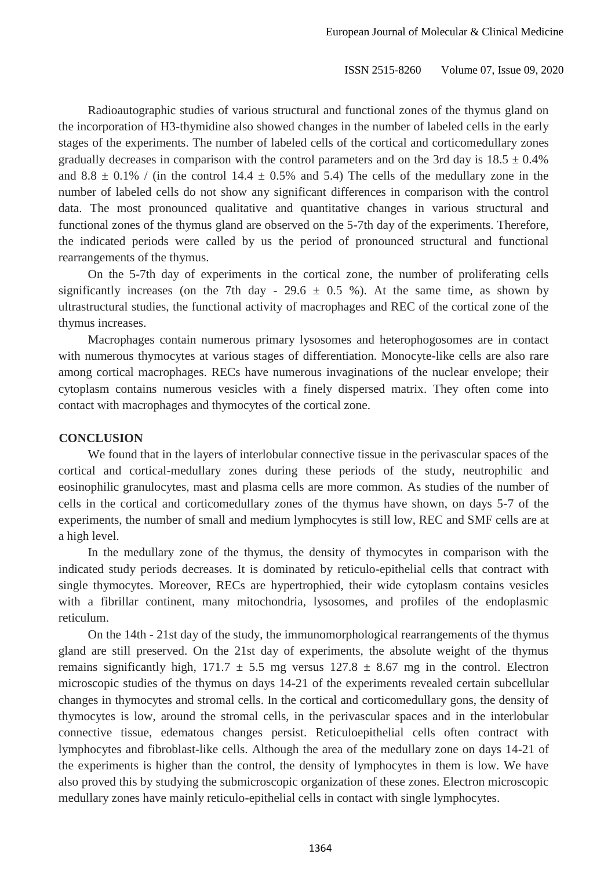Radioautographic studies of various structural and functional zones of the thymus gland on 2 the incorporation of H3-thymidine also showed changes in the number of labeled cells in the early stages of the experiments. The number of labeled cells of the cortical and corticomedullary zones gradually decreases in comparison with the control parameters and on the 3rd day is  $18.5 \pm 0.4\%$ and 8.8  $\pm$  0.1% / (in the control 14.4  $\pm$  0.5% and 5.4) The cells of the medullary zone in the number of labeled cells do not show any significant differences in comparison with the control 7 data. The most pronounced qualitative and quantitative changes in various structural and functional zones of the thymus gland are observed on the 5-7th day of the experiments. Therefore, 9 the indicated periods were called by us the period of pronounced structural and functional rearrangements of the thymus.

11 On the 5-7th day of experiments in the cortical zone, the number of proliferating cells significantly increases (on the 7th day - 29.6  $\pm$  0.5 %). At the same time, as shown by ultrastructural studies, the functional activity of macrophages and REC of the cortical zone of the thymus increases.

Macrophages contain numerous primary lysosomes and heterophogosomes are in contact with numerous thymocytes at various stages of differentiation. Monocyte-like cells are also rare among cortical macrophages. RECs have numerous invaginations of the nuclear envelope; their cytoplasm contains numerous vesicles with a finely dispersed matrix. They often come into contact with macrophages and thymocytes of the cortical zone.

#### 21 **CONCLUSION**

We found that in the layers of interlobular connective tissue in the perivascular spaces of the 23 cortical and cortical-medullary zones during these periods of the study, neutrophilic and eosinophilic granulocytes, mast and plasma cells are more common. As studies of the number of 25 cells in the cortical and corticomedullary zones of the thymus have shown, on days 5-7 of the 26 experiments, the number of small and medium lymphocytes is still low, REC and SMF cells are at a high level.

In the medullary zone of the thymus, the density of thymocytes in comparison with the indicated study periods decreases. It is dominated by reticulo-epithelial cells that contract with single thymocytes. Moreover, RECs are hypertrophied, their wide cytoplasm contains vesicles with a fibrillar continent, many mitochondria, lysosomes, and profiles of the endoplasmic reticulum.

33 On the 14th - 21st day of the study, the immunomorphological rearrangements of the thymus gland are still preserved. On the 21st day of experiments, the absolute weight of the thymus remains significantly high,  $171.7 \pm 5.5$  mg versus  $127.8 \pm 8.67$  mg in the control. Electron microscopic studies of the thymus on days 14-21 of the experiments revealed certain subcellular 37 changes in thymocytes and stromal cells. In the cortical and corticomedullary gons, the density of thymocytes is low, around the stromal cells, in the perivascular spaces and in the interlobular 39 connective tissue, edematous changes persist. Reticuloepithelial cells often contract with 40 lymphocytes and fibroblast-like cells. Although the area of the medullary zone on days 14-21 of the experiments is higher than the control, the density of lymphocytes in them is low. We have also proved this by studying the submicroscopic organization of these zones. Electron microscopic medullary zones have mainly reticulo-epithelial cells in contact with single lymphocytes.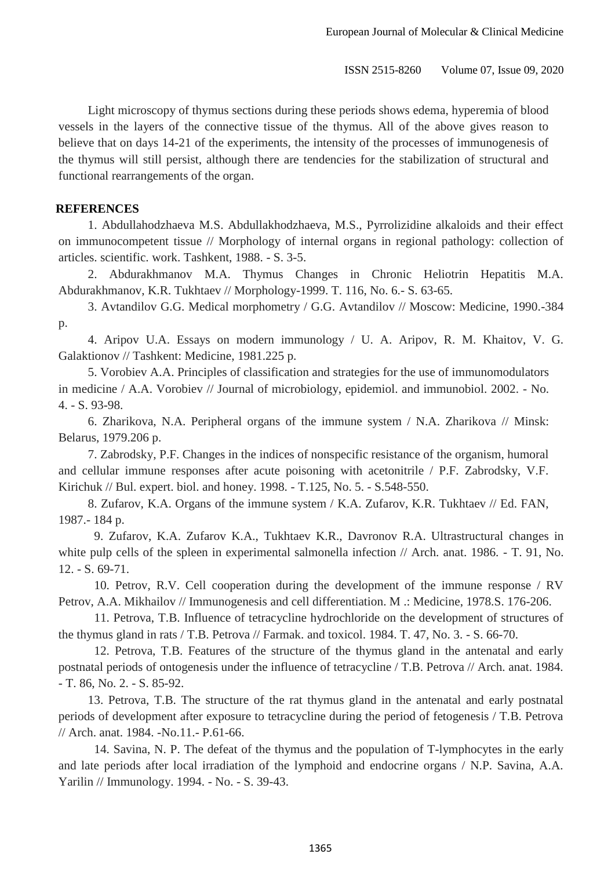Light microscopy of thymus sections during these periods shows edema, hyperemia of blood 2 vessels in the layers of the connective tissue of the thymus. All of the above gives reason to believe that on days 14-21 of the experiments, the intensity of the processes of immunogenesis of 4 the thymus will still persist, although there are tendencies for the stabilization of structural and functional rearrangements of the organ.

### 7 **REFERENCES**

8 1. Abdullahodzhaeva M.S. Abdullakhodzhaeva, M.S., Pyrrolizidine alkaloids and their effect 9 on immunocompetent tissue // Morphology of internal organs in regional pathology: collection of 10 articles. scientific. work. Tashkent, 1988. - S. 3-5.

2. Abdurakhmanov M.A. Thymus Changes in Chronic Heliotrin Hepatitis M.A. 12 Abdurakhmanov, K.R. Tukhtaev // Morphology-1999. T. 116, No. 6.- S. 63-65.

13 3. Avtandilov G.G. Medical morphometry / G.G. Avtandilov // Moscow: Medicine, 1990.-384 p.

> 15 4. Aripov U.A. Essays on modern immunology / U. A. Aripov, R. M. Khaitov, V. G. 16 Galaktionov // Tashkent: Medicine, 1981.225 p.

17 5. Vorobiev A.A. Principles of classification and strategies for the use of immunomodulators in medicine / A.A. Vorobiev // Journal of microbiology, epidemiol. and immunobiol. 2002. - No.  $4. - S. 93-98.$ 

6. Zharikova, N.A. Peripheral organs of the immune system / N.A. Zharikova // Minsk: Belarus, 1979.206 p.

22 7. Zabrodsky, P.F. Changes in the indices of nonspecific resistance of the organism, humoral and cellular immune responses after acute poisoning with acetonitrile / P.F. Zabrodsky, V.F. 24 Kirichuk // Bul. expert. biol. and honey. 1998. - T.125, No. 5. - S.548-550.

25 8. Zufarov, K.A. Organs of the immune system / K.A. Zufarov, K.R. Tukhtaev // Ed. FAN, 1987.- 184 p.

279. Zufarov, K.A. Zufarov K.A., Tukhtaev K.R., Davronov R.A. Ultrastructural changes in white pulp cells of the spleen in experimental salmonella infection  $\beta$  Arch. anat. 1986. - T. 91, No. 12. - S. 69-71.

30 10. Petrov, R.V. Cell cooperation during the development of the immune response / RV 31 Petrov, A.A. Mikhailov // Immunogenesis and cell differentiation. M .: Medicine, 1978.S. 176-206.

32 11. Petrova, T.B. Influence of tetracycline hydrochloride on the development of structures of the thymus gland in rats / T.B. Petrova // Farmak. and toxicol. 1984. T. 47, No. 3. - S. 66-70.

34 12. Petrova, T.B. Features of the structure of the thymus gland in the antenatal and early 35 postnatal periods of ontogenesis under the influence of tetracycline / T.B. Petrova // Arch. anat. 1984. 36 - T. 86, No. 2. - S. 85-92.

37 13. Petrova, T.B. The structure of the rat thymus gland in the antenatal and early postnatal 38 periods of development after exposure to tetracycline during the period of fetogenesis / T.B. Petrova // Arch. anat. 1984. -No.11.- P.61-66.

14. Savina, N. P. The defeat of the thymus and the population of T-lymphocytes in the early and late periods after local irradiation of the lymphoid and endocrine organs / N.P. Savina, A.A. Yarilin // Immunology. 1994. - No. - S. 39-43.